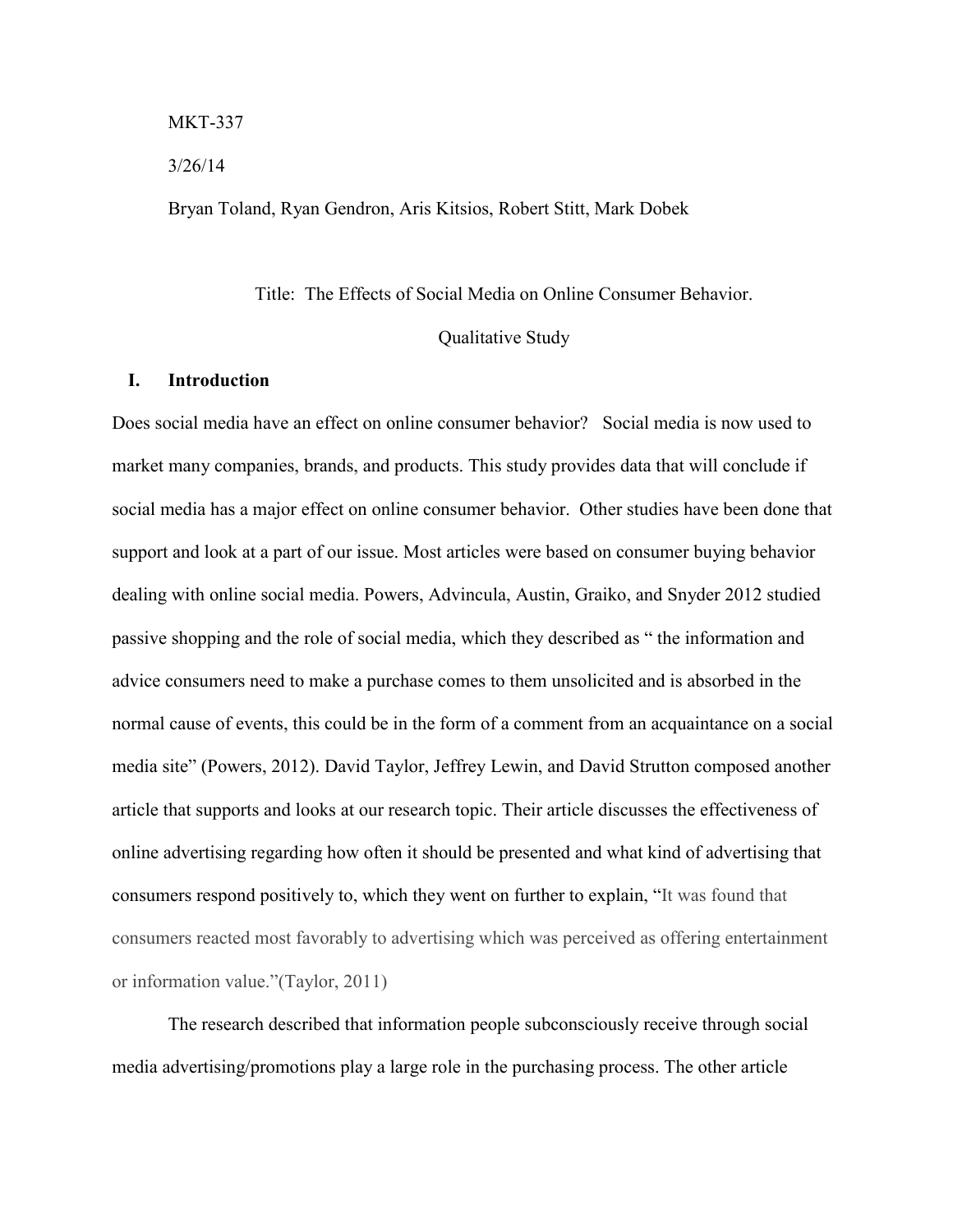#### MKT-337

#### 3/26/14

Bryan Toland, Ryan Gendron, Aris Kitsios, Robert Stitt, Mark Dobek

# Title: The Effects of Social Media on Online Consumer Behavior. Qualitative Study

#### **I. Introduction**

Does social media have an effect on online consumer behavior? Social media is now used to market many companies, brands, and products. This study provides data that will conclude if social media has a major effect on online consumer behavior. Other studies have been done that support and look at a part of our issue. Most articles were based on consumer buying behavior dealing with online social media. Powers, Advincula, Austin, Graiko, and Snyder 2012 studied passive shopping and the role of social media, which they described as " the information and advice consumers need to make a purchase comes to them unsolicited and is absorbed in the normal cause of events, this could be in the form of a comment from an acquaintance on a social media site" (Powers, 2012). David Taylor, Jeffrey Lewin, and David Strutton composed another article that supports and looks at our research topic. Their article discusses the effectiveness of online advertising regarding how often it should be presented and what kind of advertising that consumers respond positively to, which they went on further to explain, "It was found that consumers reacted most favorably to advertising which was perceived as offering entertainment or information value."(Taylor, 2011)

The research described that information people subconsciously receive through social media advertising/promotions play a large role in the purchasing process. The other article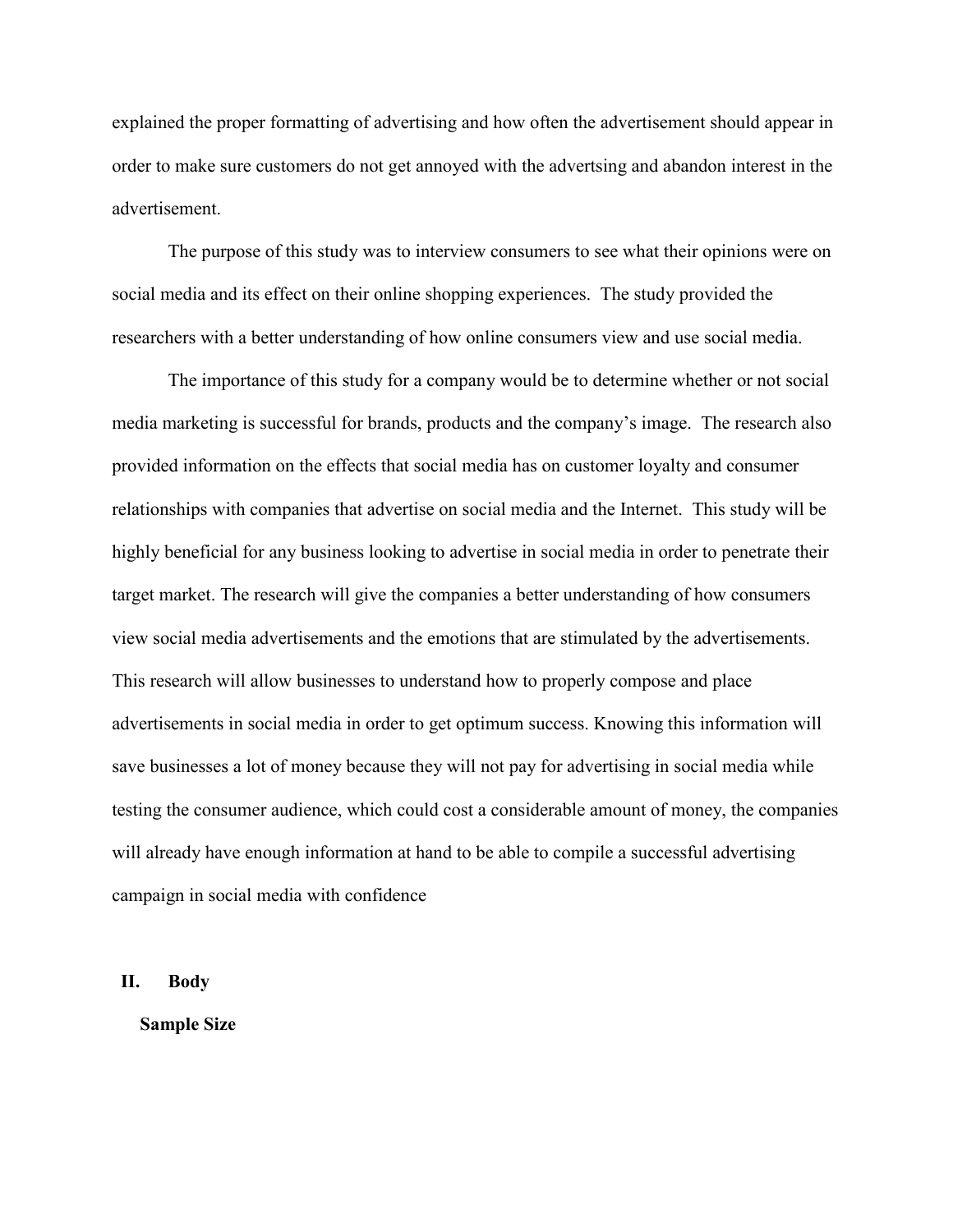explained the proper formatting of advertising and how often the advertisement should appear in order to make sure customers do not get annoyed with the advertsing and abandon interest in the advertisement.

The purpose of this study was to interview consumers to see what their opinions were on social media and its effect on their online shopping experiences. The study provided the researchers with a better understanding of how online consumers view and use social media.

The importance of this study for a company would be to determine whether or not social media marketing is successful for brands, products and the company's image. The research also provided information on the effects that social media has on customer loyalty and consumer relationships with companies that advertise on social media and the Internet. This study will be highly beneficial for any business looking to advertise in social media in order to penetrate their target market. The research will give the companies a better understanding of how consumers view social media advertisements and the emotions that are stimulated by the advertisements. This research will allow businesses to understand how to properly compose and place advertisements in social media in order to get optimum success. Knowing this information will save businesses a lot of money because they will not pay for advertising in social media while testing the consumer audience, which could cost a considerable amount of money, the companies will already have enough information at hand to be able to compile a successful advertising campaign in social media with confidence

#### **II. Body**

**Sample Size**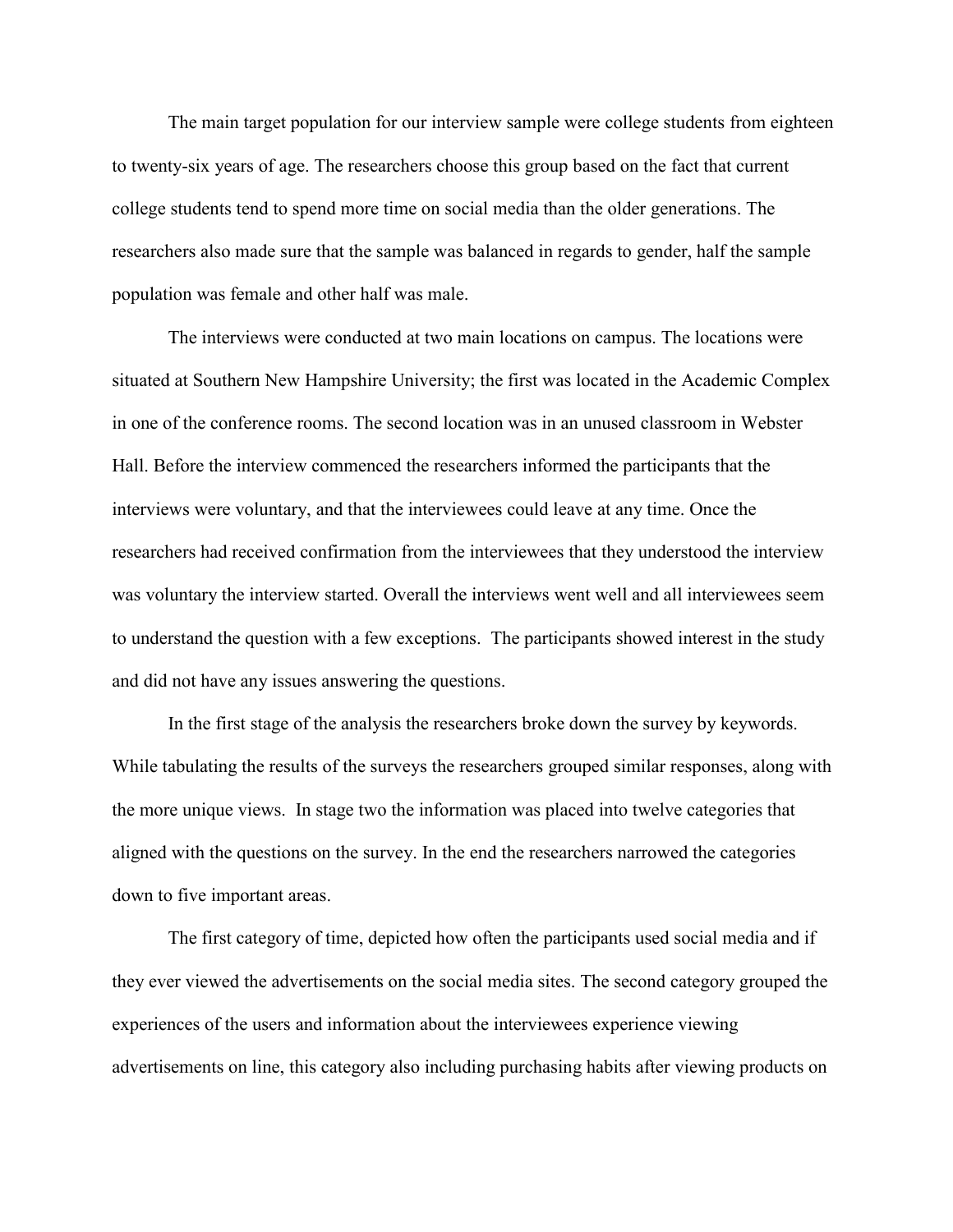The main target population for our interview sample were college students from eighteen to twenty-six years of age. The researchers choose this group based on the fact that current college students tend to spend more time on social media than the older generations. The researchers also made sure that the sample was balanced in regards to gender, half the sample population was female and other half was male.

The interviews were conducted at two main locations on campus. The locations were situated at Southern New Hampshire University; the first was located in the Academic Complex in one of the conference rooms. The second location was in an unused classroom in Webster Hall. Before the interview commenced the researchers informed the participants that the interviews were voluntary, and that the interviewees could leave at any time. Once the researchers had received confirmation from the interviewees that they understood the interview was voluntary the interview started. Overall the interviews went well and all interviewees seem to understand the question with a few exceptions. The participants showed interest in the study and did not have any issues answering the questions.

In the first stage of the analysis the researchers broke down the survey by keywords. While tabulating the results of the surveys the researchers grouped similar responses, along with the more unique views. In stage two the information was placed into twelve categories that aligned with the questions on the survey. In the end the researchers narrowed the categories down to five important areas.

The first category of time, depicted how often the participants used social media and if they ever viewed the advertisements on the social media sites. The second category grouped the experiences of the users and information about the interviewees experience viewing advertisements on line, this category also including purchasing habits after viewing products on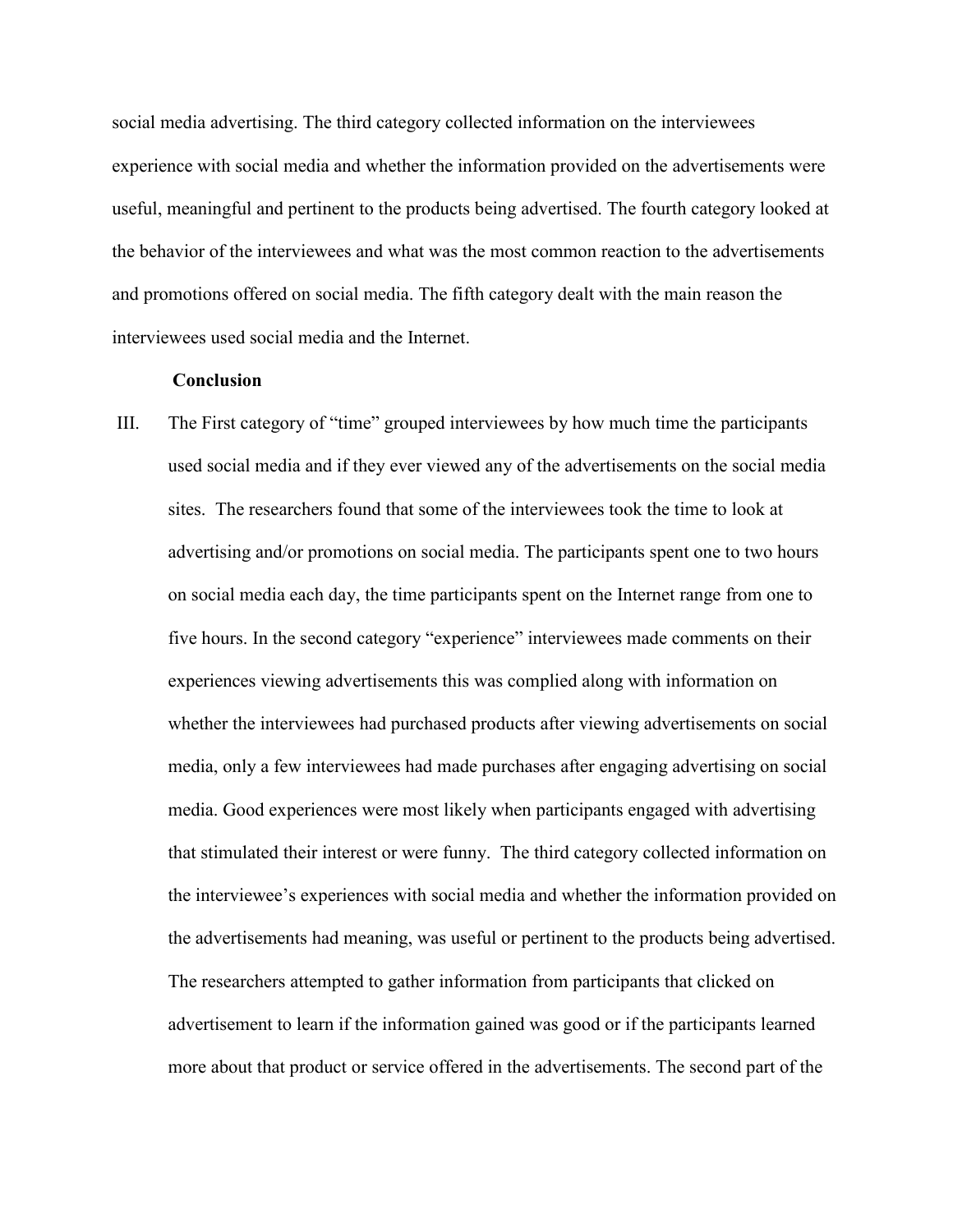social media advertising. The third category collected information on the interviewees experience with social media and whether the information provided on the advertisements were useful, meaningful and pertinent to the products being advertised. The fourth category looked at the behavior of the interviewees and what was the most common reaction to the advertisements and promotions offered on social media. The fifth category dealt with the main reason the interviewees used social media and the Internet.

#### **Conclusion**

III. The First category of "time" grouped interviewees by how much time the participants used social media and if they ever viewed any of the advertisements on the social media sites. The researchers found that some of the interviewees took the time to look at advertising and/or promotions on social media. The participants spent one to two hours on social media each day, the time participants spent on the Internet range from one to five hours. In the second category "experience" interviewees made comments on their experiences viewing advertisements this was complied along with information on whether the interviewees had purchased products after viewing advertisements on social media, only a few interviewees had made purchases after engaging advertising on social media. Good experiences were most likely when participants engaged with advertising that stimulated their interest or were funny. The third category collected information on the interviewee's experiences with social media and whether the information provided on the advertisements had meaning, was useful or pertinent to the products being advertised. The researchers attempted to gather information from participants that clicked on advertisement to learn if the information gained was good or if the participants learned more about that product or service offered in the advertisements. The second part of the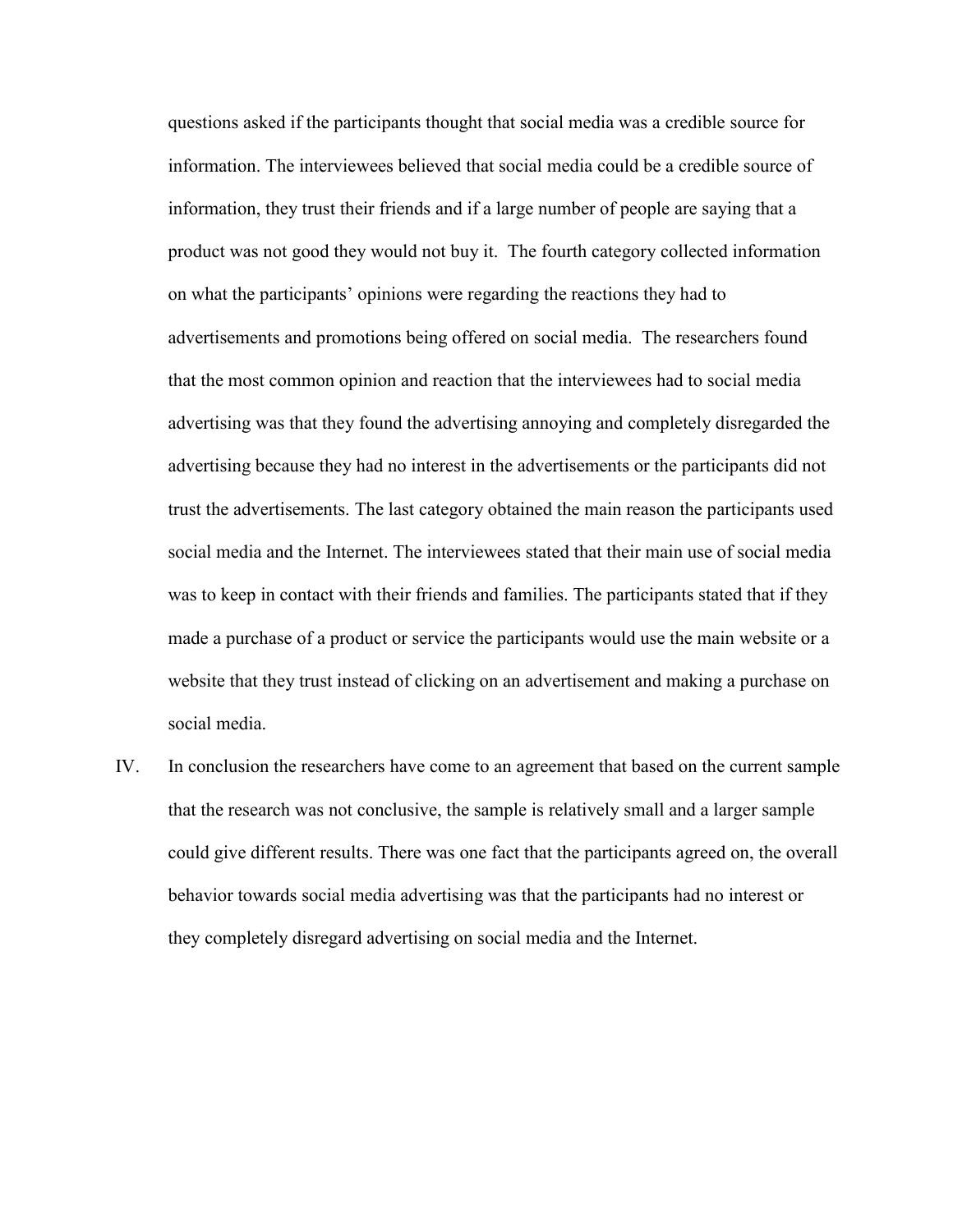questions asked if the participants thought that social media was a credible source for information. The interviewees believed that social media could be a credible source of information, they trust their friends and if a large number of people are saying that a product was not good they would not buy it. The fourth category collected information on what the participants' opinions were regarding the reactions they had to advertisements and promotions being offered on social media. The researchers found that the most common opinion and reaction that the interviewees had to social media advertising was that they found the advertising annoying and completely disregarded the advertising because they had no interest in the advertisements or the participants did not trust the advertisements. The last category obtained the main reason the participants used social media and the Internet. The interviewees stated that their main use of social media was to keep in contact with their friends and families. The participants stated that if they made a purchase of a product or service the participants would use the main website or a website that they trust instead of clicking on an advertisement and making a purchase on social media.

IV. In conclusion the researchers have come to an agreement that based on the current sample that the research was not conclusive, the sample is relatively small and a larger sample could give different results. There was one fact that the participants agreed on, the overall behavior towards social media advertising was that the participants had no interest or they completely disregard advertising on social media and the Internet.